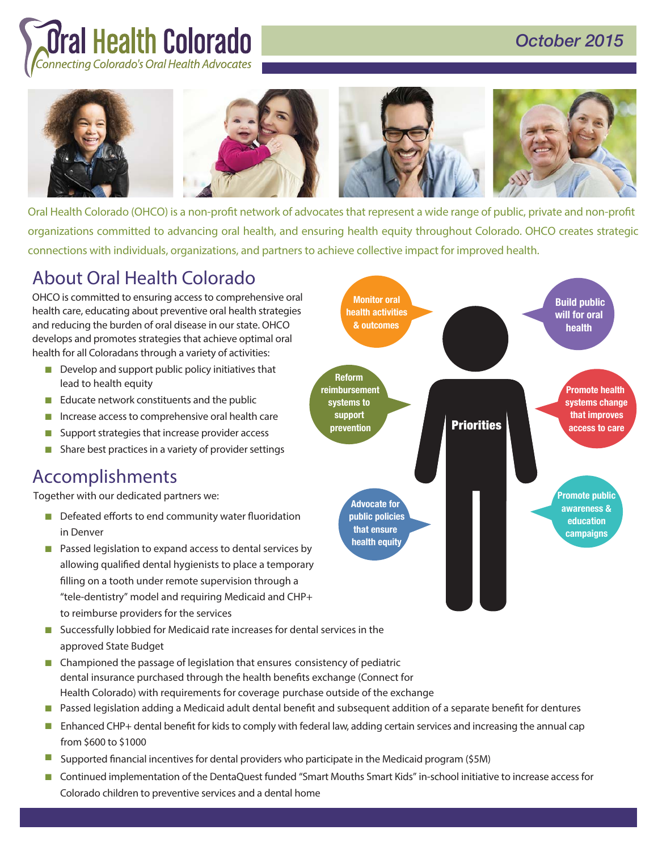### *October 2015*

# Oral Health Colorado .<br>Connecting Colorado's Oral Health Advocates



Oral Health Colorado (OHCO) is a non-profit network of advocates that represent a wide range of public, private and non-profit organizations committed to advancing oral health, and ensuring health equity throughout Colorado. OHCO creates strategic connections with individuals, organizations, and partners to achieve collective impact for improved health.

# **About Oral Health Colorado**

OHCO is committed to ensuring access to comprehensive oral health care, educating about preventive oral health strategies and reducing the burden of oral disease in our state. OHCO develops and promotes strategies that achieve optimal oral health for all Coloradans through a variety of activities:

- $\blacksquare$  Develop and support public policy initiatives that lead to health equity
- $\blacksquare$  Educate network constituents and the public
- $\blacksquare$  Increase access to comprehensive oral health care
- $\blacksquare$  Support strategies that increase provider access
- $\blacksquare$  Share best practices in a variety of provider settings

## **Accomplishments**

Together with our dedicated partners we:

- $\blacksquare$  Defeated efforts to end community water fluoridation in Denver
- **Passed legislation to expand access to dental services by** allowing qualified dental hygienists to place a temporary filling on a tooth under remote supervision through a "tele-dentistry" model and requiring Medicaid and CHP+ to reimburse providers for the services
- Successfully lobbied for Medicaid rate increases for dental services in the approved State Budget
- $\blacksquare$  Championed the passage of legislation that ensures consistency of pediatric dental insurance purchased through the health benefits exchange (Connect for Health Colorado) with requirements for coverage purchase outside of the exchange
- **Passed legislation adding a Medicaid adult dental benefit and subsequent addition of a separate benefit for dentures**
- Enhanced CHP+ dental benefit for kids to comply with federal law, adding certain services and increasing the annual cap from \$600 to \$1000  $\sim$
- Supported financial incentives for dental providers who participate in the Medicaid program (\$5M)  $\sim$
- Continued implementation of the DentaQuest funded "Smart Mouths Smart Kids" in-school initiative to increase access for Colorado children to preventive services and a dental home